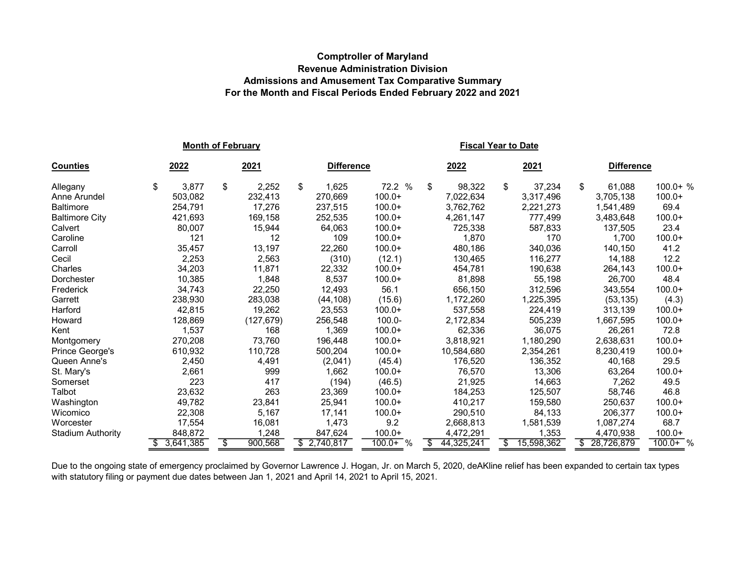## Comptroller of Maryland Revenue Administration Division Admissions and Amusement Tax Comparative Summary For the Month and Fiscal Periods Ended February 2022 and 2021

|                          | <b>Fiscal Year to Date</b> |               |                   |            |    |            |    |            |    |                   |            |
|--------------------------|----------------------------|---------------|-------------------|------------|----|------------|----|------------|----|-------------------|------------|
| <b>Counties</b>          | 2022                       | 2021          | <b>Difference</b> |            |    | 2022       |    | 2021       |    | <b>Difference</b> |            |
| Allegany                 | \$<br>3,877                | \$<br>2,252   | \$<br>1,625       | 72.2 %     | \$ | 98,322     | \$ | 37,234     | \$ | 61,088            | $100.0+$ % |
| Anne Arundel             | 503,082                    | 232,413       | 270.669           | $100.0+$   |    | 7,022,634  |    | 3.317.496  |    | 3,705,138         | $100.0+$   |
| <b>Baltimore</b>         | 254,791                    | 17,276        | 237,515           | $100.0+$   |    | 3,762,762  |    | 2,221,273  |    | 1,541,489         | 69.4       |
| <b>Baltimore City</b>    | 421,693                    | 169,158       | 252,535           | $100.0+$   |    | 4,261,147  |    | 777,499    |    | 3,483,648         | $100.0+$   |
| Calvert                  | 80,007                     | 15,944        | 64,063            | $100.0+$   |    | 725,338    |    | 587,833    |    | 137,505           | 23.4       |
| Caroline                 | 121                        | 12            | 109               | $100.0+$   |    | 1,870      |    | 170        |    | 1.700             | $100.0+$   |
| Carroll                  | 35,457                     | 13,197        | 22,260            | $100.0+$   |    | 480,186    |    | 340,036    |    | 140,150           | 41.2       |
| Cecil                    | 2,253                      | 2,563         | (310)             | (12.1)     |    | 130.465    |    | 116,277    |    | 14,188            | 12.2       |
| Charles                  | 34,203                     | 11,871        | 22,332            | $100.0+$   |    | 454,781    |    | 190,638    |    | 264,143           | $100.0+$   |
| Dorchester               | 10,385                     | 1,848         | 8,537             | $100.0+$   |    | 81,898     |    | 55,198     |    | 26,700            | 48.4       |
| Frederick                | 34,743                     | 22,250        | 12,493            | 56.1       |    | 656,150    |    | 312,596    |    | 343,554           | $100.0+$   |
| Garrett                  | 238,930                    | 283,038       | (44, 108)         | (15.6)     |    | 1,172,260  |    | 1,225,395  |    | (53, 135)         | (4.3)      |
| Harford                  | 42,815                     | 19,262        | 23,553            | $100.0+$   |    | 537.558    |    | 224,419    |    | 313,139           | $100.0+$   |
| Howard                   | 128,869                    | (127, 679)    | 256,548           | $100.0 -$  |    | 2,172,834  |    | 505,239    |    | 1,667,595         | $100.0+$   |
| Kent                     | 1,537                      | 168           | 1,369             | $100.0+$   |    | 62,336     |    | 36,075     |    | 26,261            | 72.8       |
| Montgomery               | 270,208                    | 73,760        | 196,448           | $100.0+$   |    | 3,818,921  |    | 1,180,290  |    | 2,638,631         | $100.0+$   |
| Prince George's          | 610,932                    | 110,728       | 500,204           | $100.0+$   |    | 10,584,680 |    | 2,354,261  |    | 8,230,419         | $100.0+$   |
| Queen Anne's             | 2,450                      | 4,491         | (2,041)           | (45.4)     |    | 176,520    |    | 136,352    |    | 40,168            | 29.5       |
| St. Mary's               | 2,661                      | 999           | 1,662             | $100.0+$   |    | 76,570     |    | 13,306     |    | 63,264            | $100.0+$   |
| Somerset                 | 223                        | 417           | (194)             | (46.5)     |    | 21,925     |    | 14.663     |    | 7.262             | 49.5       |
| Talbot                   | 23,632                     | 263           | 23,369            | $100.0+$   |    | 184,253    |    | 125,507    |    | 58,746            | 46.8       |
| Washington               | 49,782                     | 23,841        | 25,941            | $100.0+$   |    | 410,217    |    | 159,580    |    | 250,637           | $100.0+$   |
| Wicomico                 | 22,308                     | 5,167         | 17,141            | $100.0+$   |    | 290,510    |    | 84,133     |    | 206,377           | $100.0+$   |
| Worcester                | 17,554                     | 16,081        | 1,473             | 9.2        |    | 2,668,813  |    | 1,581,539  |    | 1,087,274         | 68.7       |
| <b>Stadium Authority</b> | 848,872                    | 1,248         | 847,624           | $100.0+$   |    | 4,472,291  |    | 1,353      |    | 4,470,938         | $100.0+$   |
|                          | \$3,641,385                | \$<br>900,568 | \$2,740,817       | $100.0+$ % | \$ | 44,325,241 | S  | 15,598,362 | \$ | 28,726,879        | $100.0+$ % |

Due to the ongoing state of emergency proclaimed by Governor Lawrence J. Hogan, Jr. on March 5, 2020, deAKline relief has been expanded to certain tax types with statutory filing or payment due dates between Jan 1, 2021 and April 14, 2021 to April 15, 2021.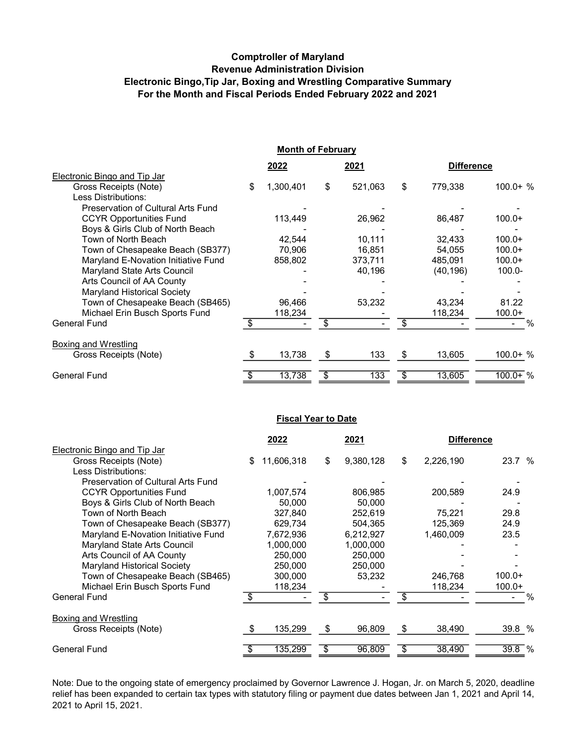## Comptroller of Maryland Revenue Administration Division Electronic Bingo,Tip Jar, Boxing and Wrestling Comparative Summary For the Month and Fiscal Periods Ended February 2022 and 2021

|                                     | <b>Month of February</b> |      |         |    |                   |             |  |  |  |
|-------------------------------------|--------------------------|------|---------|----|-------------------|-------------|--|--|--|
|                                     | 2022                     | 2021 |         |    | <b>Difference</b> |             |  |  |  |
| Electronic Bingo and Tip Jar        |                          |      |         |    |                   |             |  |  |  |
| Gross Receipts (Note)               | \$<br>1,300,401          | \$   | 521,063 | \$ | 779,338           | $100.0 + %$ |  |  |  |
| Less Distributions:                 |                          |      |         |    |                   |             |  |  |  |
| Preservation of Cultural Arts Fund  |                          |      |         |    |                   |             |  |  |  |
| <b>CCYR Opportunities Fund</b>      | 113,449                  |      | 26,962  |    | 86,487            | $100.0+$    |  |  |  |
| Boys & Girls Club of North Beach    |                          |      |         |    |                   |             |  |  |  |
| Town of North Beach                 | 42.544                   |      | 10,111  |    | 32,433            | $100.0+$    |  |  |  |
| Town of Chesapeake Beach (SB377)    | 70,906                   |      | 16,851  |    | 54,055            | $100.0+$    |  |  |  |
| Maryland E-Novation Initiative Fund | 858,802                  |      | 373,711 |    | 485,091           | $100.0+$    |  |  |  |
| Maryland State Arts Council         |                          |      | 40,196  |    | (40, 196)         | $100.0 -$   |  |  |  |
| Arts Council of AA County           |                          |      |         |    |                   |             |  |  |  |
| Maryland Historical Society         |                          |      |         |    |                   |             |  |  |  |
| Town of Chesapeake Beach (SB465)    | 96,466                   |      | 53,232  |    | 43,234            | 81.22       |  |  |  |
| Michael Erin Busch Sports Fund      | 118,234                  |      |         |    | 118,234           | $100.0+$    |  |  |  |
| <b>General Fund</b>                 | \$                       | \$   |         | \$ |                   | $\%$        |  |  |  |
| Boxing and Wrestling                |                          |      |         |    |                   |             |  |  |  |
| Gross Receipts (Note)               | 13,738                   | \$   | 133     | \$ | 13,605            | $100.0 + %$ |  |  |  |
| <b>General Fund</b>                 | 13,738                   | \$   | 133     | \$ | 13,605            | $100.0+$ %  |  |  |  |
|                                     |                          |      |         |    |                   |             |  |  |  |

## **Fiscal Year to Date**

|                                     | 2022            | 2021            | <b>Difference</b> |          |
|-------------------------------------|-----------------|-----------------|-------------------|----------|
| Electronic Bingo and Tip Jar        |                 |                 |                   |          |
| Gross Receipts (Note)               | 11,606,318<br>S | \$<br>9,380,128 | \$<br>2,226,190   | 23.7 %   |
| Less Distributions:                 |                 |                 |                   |          |
| Preservation of Cultural Arts Fund  |                 |                 |                   |          |
| <b>CCYR Opportunities Fund</b>      | 1,007,574       | 806,985         | 200,589           | 24.9     |
| Boys & Girls Club of North Beach    | 50,000          | 50.000          |                   |          |
| Town of North Beach                 | 327,840         | 252,619         | 75,221            | 29.8     |
| Town of Chesapeake Beach (SB377)    | 629,734         | 504,365         | 125,369           | 24.9     |
| Maryland E-Novation Initiative Fund | 7,672,936       | 6,212,927       | 1,460,009         | 23.5     |
| Maryland State Arts Council         | 1,000,000       | 1,000,000       |                   |          |
| Arts Council of AA County           | 250,000         | 250,000         |                   |          |
| <b>Maryland Historical Society</b>  | 250,000         | 250,000         |                   |          |
| Town of Chesapeake Beach (SB465)    | 300,000         | 53,232          | 246,768           | $100.0+$ |
| Michael Erin Busch Sports Fund      | 118,234         |                 | 118,234           | $100.0+$ |
| <b>General Fund</b>                 | \$              | \$              | \$                | %        |
| <b>Boxing and Wrestling</b>         |                 |                 |                   |          |
| Gross Receipts (Note)               | 135,299         | \$<br>96,809    | \$<br>38,490      | 39.8 %   |
| <b>General Fund</b>                 | 135,299         | \$<br>96,809    | \$<br>38,490      | 39.8 %   |

Note: Due to the ongoing state of emergency proclaimed by Governor Lawrence J. Hogan, Jr. on March 5, 2020, deadline relief has been expanded to certain tax types with statutory filing or payment due dates between Jan 1, 2021 and April 14, 2021 to April 15, 2021.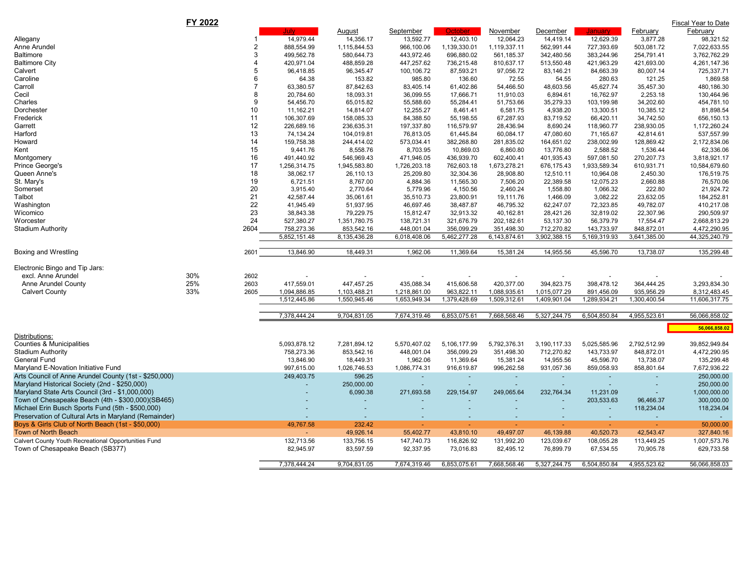|                                                       | FY 2022        |              |              |              |                          |                          |                          |              |                          | Fiscal Year to Date |
|-------------------------------------------------------|----------------|--------------|--------------|--------------|--------------------------|--------------------------|--------------------------|--------------|--------------------------|---------------------|
|                                                       |                | Julv         | August       | September    | October :                | November                 | December                 | Januarv      | February                 | February            |
| Allegany                                              |                | 14,979.44    | 14,356.17    | 13,592.77    | 12,403.10                | 12,064.23                | 14,419.14                | 12,629.39    | 3,877.28                 | 98,321.52           |
| Anne Arundel                                          | 2              | 888,554.99   | 1,115,844.53 | 966,100.06   | 1,139,330.01             | 1,119,337.11             | 562,991.44               | 727,393.69   | 503,081.72               | 7,022,633.55        |
| Baltimore                                             | 3              | 499,562.78   | 580,644.73   | 443,972.46   | 696,880.02               | 561,185.37               | 342,480.56               | 383,244.96   | 254,791.41               | 3,762,762.29        |
| <b>Baltimore City</b>                                 | $\overline{4}$ | 420,971.04   | 488,859.28   | 447,257.62   | 736,215.48               | 810,637.17               | 513,550.48               | 421,963.29   | 421,693.00               | 4,261,147.36        |
| Calvert                                               | 5              | 96,418.85    | 96,345.47    | 100,106.72   | 87,593.21                | 97,056.72                | 83,146.21                | 84,663.39    | 80,007.14                | 725,337.71          |
| Caroline                                              | 6              | 64.38        | 153.82       | 985.80       | 136.60                   | 72.55                    | 54.55                    | 280.63       | 121.25                   | 1,869.58            |
| Carroll                                               | $\overline{7}$ | 63,380.57    | 87,842.63    | 83,405.14    | 61,402.86                | 54,466.50                | 48,603.56                | 45,627.74    | 35,457.30                | 480,186.30          |
| Cecil                                                 | 8              | 20,784.60    | 18,093.31    | 36,099.55    | 17,666.71                | 11,910.03                | 6,894.61                 | 16,762.97    | 2,253.18                 | 130,464.96          |
| Charles                                               | 9              | 54,456.70    | 65,015.82    | 55,588.60    | 55,284.41                | 51,753.66                | 35,279.33                | 103,199.98   | 34,202.60                | 454,781.10          |
| Dorchester                                            | 10             | 11,162.21    | 14,814.07    | 12,255.27    | 8,461.41                 | 6,581.75                 | 4,938.20                 | 13,300.51    | 10,385.12                | 81,898.54           |
| Frederick                                             | 11             | 106,307.69   | 158,085.33   | 84,388.50    | 55,198.55                | 67,287.93                | 83,719.52                | 66,420.11    | 34,742.50                | 656,150.13          |
| Garrett                                               | 12             | 226,689.16   | 236,635.31   | 197,337.80   | 116,579.97               | 28,436.94                | 8,690.24                 | 118,960.77   | 238,930.05               | 1,172,260.24        |
| Harford                                               | 13             | 74,134.24    | 104,019.81   | 76,813.05    | 61,445.84                | 60,084.17                | 47,080.60                | 71,165.67    | 42,814.61                | 537,557.99          |
| Howard                                                | 14             | 159,758.38   | 244,414.02   | 573,034.41   | 382,268.80               | 281,835.02               | 164,651.02               | 238,002.99   | 128,869.42               | 2,172,834.06        |
| Kent                                                  | 15             | 9,441.76     | 8,558.76     | 8,703.95     | 10,869.03                | 6,860.80                 | 13,776.80                | 2,588.52     | 1,536.44                 | 62,336.06           |
| Montgomery                                            | 16             | 491,440.92   | 546,969.43   | 471,946.05   | 436,939.70               | 602,400.41               | 401,935.43               | 597,081.50   | 270,207.73               | 3,818,921.17        |
| Prince George's                                       | 17             | 1,256,314.75 | 1,945,583.80 | 1,726,203.18 | 762,603.18               | 1,673,278.21             | 676,175.43               | 1,933,589.34 | 610,931.71               | 10,584,679.60       |
| Queen Anne's                                          | 18             | 38,062.17    | 26,110.13    | 25,209.80    | 32,304.36                | 28,908.80                | 12,510.11                | 10,964.08    | 2,450.30                 | 176,519.75          |
| St. Mary's                                            | 19             | 6,721.51     | 8,767.00     | 4,884.36     | 11,565.30                | 7,506.20                 | 22,389.58                | 12,075.23    | 2,660.88                 | 76,570.06           |
| Somerset                                              | 20             | 3,915.40     | 2,770.64     | 5,779.96     | 4,150.56                 | 2,460.24                 | 1,558.80                 | 1,066.32     | 222.80                   | 21,924.72           |
| Talbot                                                | 21             | 42,587.44    | 35,061.61    | 35,510.73    | 23,800.91                | 19,111.76                | 1,466.09                 | 3,082.22     | 23,632.05                | 184,252.81          |
| Washington                                            | 22             | 41,945.49    | 51,937.95    | 46,697.46    | 38,487.87                | 46,795.32                | 62,247.07                | 72,323.85    | 49,782.07                | 410,217.08          |
| Wicomico                                              | 23             | 38,843.38    | 79,229.75    | 15,812.47    | 32,913.32                | 40,162.81                | 28,421.26                | 32,819.02    | 22,307.96                | 290,509.97          |
| Worcester                                             | 24             | 527,380.27   | 1,351,780.75 | 138,721.31   | 321,676.79               | 202,182.61               | 53,137.30                | 56,379.79    | 17,554.47                | 2,668,813.29        |
| Stadium Authority                                     | 2604           | 758,273.36   | 853,542.16   | 448,001.04   | 356,099.29               | 351,498.30               | 712,270.82               | 143,733.97   | 848,872.01               | 4,472,290.95        |
|                                                       |                | 5,852,151.48 | 8,135,436.28 | 6,018,408.06 | 5,462,277.28             | 6,143,874.61             | 3,902,388.15             | 5,169,319.93 | 3,641,385.00             | 44,325,240.79       |
| Boxing and Wrestling                                  | 2601           | 13,846.90    | 18,449.31    | 1,962.06     | 11,369.64                | 15,381.24                | 14,955.56                | 45,596.70    | 13,738.07                | 135,299.48          |
|                                                       |                |              |              |              |                          |                          |                          |              |                          |                     |
| Electronic Bingo and Tip Jars:                        |                |              |              |              |                          |                          |                          |              |                          |                     |
| excl. Anne Arundel                                    | 30%<br>2602    |              |              |              |                          |                          | $\blacksquare$           |              |                          |                     |
| Anne Arundel County                                   | 25%<br>2603    | 417,559.01   | 447,457.25   | 435,088.34   | 415,606.58               | 420,377.00               | 394,823.75               | 398,478.12   | 364,444.25               | 3,293,834.30        |
| <b>Calvert County</b>                                 | 33%<br>2605    | 1,094,886.85 | 1,103,488.21 | 1,218,861.00 | 963,822.11               | 1,088,935.61             | 1,015,077.29             | 891,456.09   | 935,956.29               | 8,312,483.45        |
|                                                       |                | 1,512,445.86 | 1,550,945.46 | 1,653,949.34 | 1,379,428.69             | 1,509,312.61             | 1,409,901.04             | 1,289,934.21 | 1,300,400.54             | 11,606,317.75       |
|                                                       |                |              |              |              |                          |                          |                          |              |                          |                     |
|                                                       |                | 7,378,444.24 | 9,704,831.05 | 7,674,319.46 | 6,853,075.61             | 7,668,568.46             | 5,327,244.75             | 6,504,850.84 | 4,955,523.61             | 56,066,858.02       |
|                                                       |                |              |              |              |                          |                          |                          |              |                          | 56,066,858.02       |
| Distributions:                                        |                |              |              |              |                          |                          |                          |              |                          |                     |
| Counties & Municipalities                             |                | 5,093,878.12 | 7,281,894.12 | 5,570,407.02 | 5,106,177.99             | 5,792,376.31             | 3,190,117.33             | 5,025,585.96 | 2,792,512.99             | 39,852,949.84       |
| Stadium Authority                                     |                | 758,273.36   | 853,542.16   | 448,001.04   | 356,099.29               | 351,498.30               | 712,270.82               | 143,733.97   | 848,872.01               | 4,472,290.95        |
| General Fund                                          |                | 13,846.90    | 18,449.31    | 1,962.06     | 11,369.64                | 15,381.24                | 14,955.56                | 45,596.70    | 13,738.07                | 135,299.48          |
| Maryland E-Novation Initiative Fund                   |                | 997,615.00   | 1,026,746.53 | 1,086,774.31 | 916,619.87               | 996,262.58               | 931,057.36               | 859,058.93   | 858,801.64               | 7,672,936.22        |
| Arts Council of Anne Arundel County (1st - \$250,000) |                | 249,403.75   | 596.25       | $\sim$       | $\omega$                 |                          | $\sim$                   |              | ÷.                       | 250,000.00          |
| Maryland Historical Society (2nd - \$250,000)         |                |              | 250,000.00   | $\sim$       | $\overline{\phantom{a}}$ | $\overline{\phantom{a}}$ | $\sim$                   |              | $\overline{\phantom{a}}$ | 250,000.00          |
| Maryland State Arts Council (3rd - \$1,000,000)       |                |              | 6,090.38     | 271,693.58   | 229, 154.97              | 249,065.64               | 232,764.34               | 11,231.09    |                          | 1,000,000.00        |
| Town of Chesapeake Beach (4th - \$300,000)(SB465)     |                |              |              |              |                          |                          |                          | 203,533.63   | 96,466.37                | 300,000.00          |
| Michael Erin Busch Sports Fund (5th - \$500,000)      |                |              |              |              |                          |                          |                          | $\sim$       | 118,234.04               | 118,234.04          |
| Preservation of Cultural Arts in Maryland (Remainder) |                |              |              |              | $\overline{\phantom{a}}$ |                          | $\overline{\phantom{a}}$ | $\sim$       | ٠                        |                     |
| Boys & Girls Club of North Beach (1st - \$50,000)     |                | 49,767.58    | 232.42       |              |                          |                          |                          |              |                          | 50,000.00           |
| <b>Town of North Beach</b>                            |                | ٠            | 49,926.14    | 55,402.77    | 43,810.10                | 49,497.07                | 46,139.88                | 40,520.73    | 42,543.47                | 327,840.16          |
| Calvert County Youth Recreational Opportunities Fund  |                | 132,713.56   | 133,756.15   | 147,740.73   | 116,826.92               | 131,992.20               | 123,039.67               | 108,055.28   | 113,449.25               | 1,007,573.76        |
| Town of Chesapeake Beach (SB377)                      |                | 82,945.97    | 83,597.59    | 92,337.95    | 73,016.83                | 82,495.12                | 76,899.79                | 67,534.55    | 70,905.78                | 629,733.58          |
|                                                       |                |              |              |              |                          |                          |                          |              |                          |                     |
|                                                       |                | 7,378,444.24 | 9,704,831.05 | 7,674,319.46 | 6,853,075.61             | 7,668,568.46             | 5,327,244.75             | 6,504,850.84 | 4,955,523.62             | 56,066,858.03       |